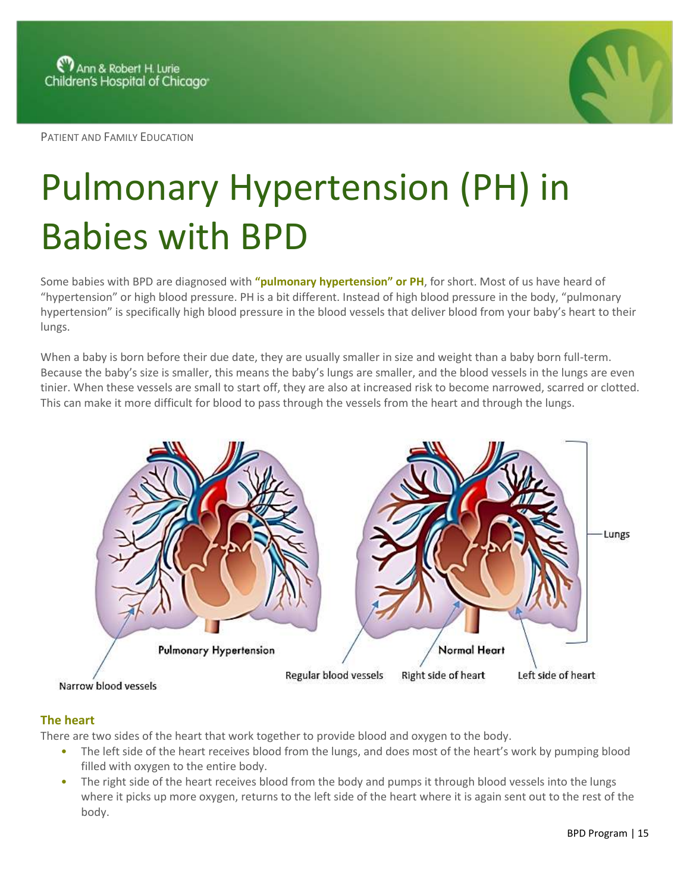PATIENT AND FAMILY EDUCATION



## Pulmonary Hypertension (PH) in Babies with BPD

Some babies with BPD are diagnosed with **"pulmonary hypertension" or PH**, for short. Most of us have heard of "hypertension" or high blood pressure. PH is a bit different. Instead of high blood pressure in the body, "pulmonary hypertension" is specifically high blood pressure in the blood vessels that deliver blood from your baby's heart to their lungs.

When a baby is born before their due date, they are usually smaller in size and weight than a baby born full-term. Because the baby's size is smaller, this means the baby's lungs are smaller, and the blood vessels in the lungs are even tinier. When these vessels are small to start off, they are also at increased risk to become narrowed, scarred or clotted. This can make it more difficult for blood to pass through the vessels from the heart and through the lungs.



## **The heart**

There are two sides of the heart that work together to provide blood and oxygen to the body.

- The left side of the heart receives blood from the lungs, and does most of the heart's work by pumping blood filled with oxygen to the entire body.
- The right side of the heart receives blood from the body and pumps it through blood vessels into the lungs where it picks up more oxygen, returns to the left side of the heart where it is again sent out to the rest of the body.